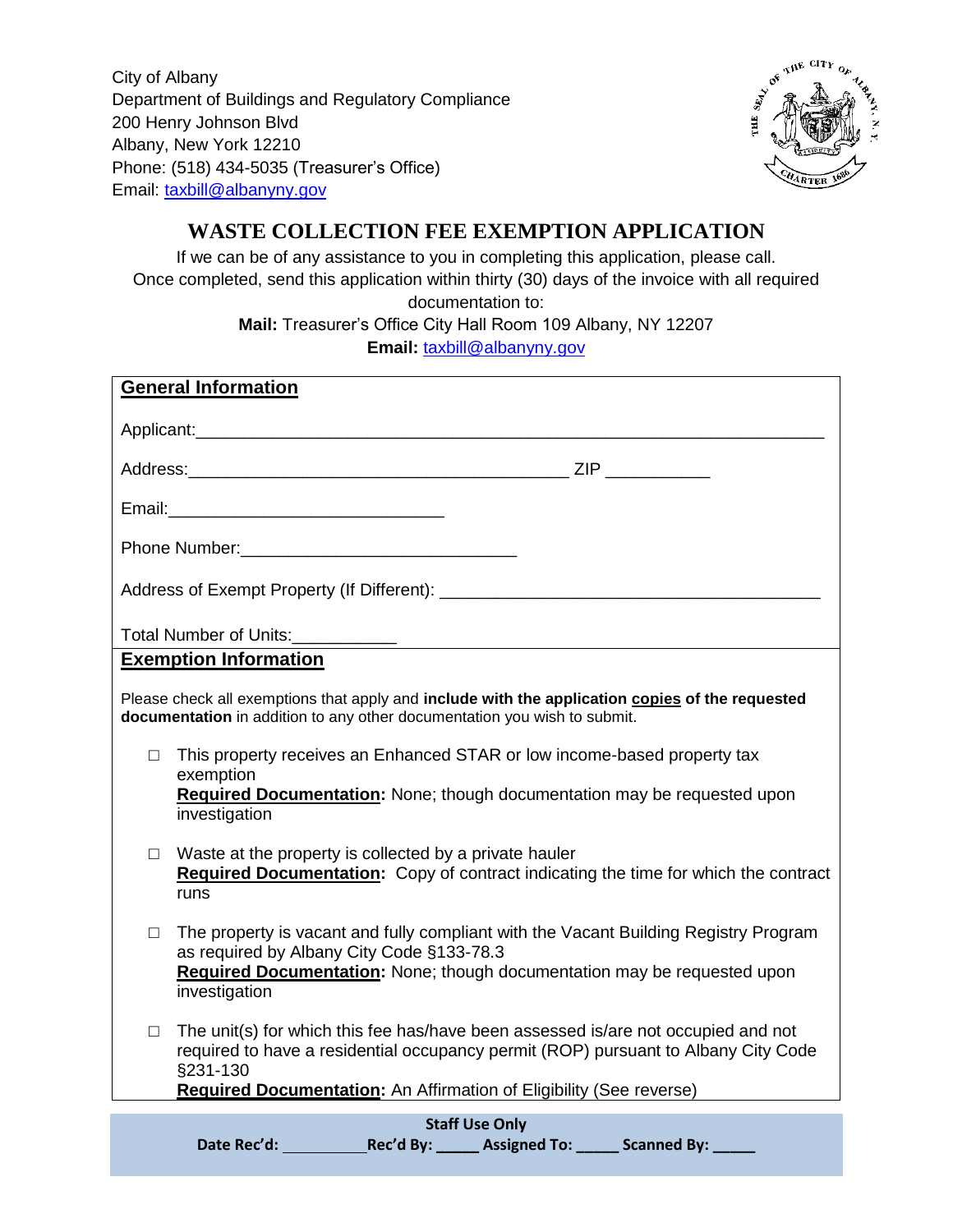City of Albany Department of Buildings and Regulatory Compliance 200 Henry Johnson Blvd Albany, New York 12210 Phone: (518) 434-5035 (Treasurer's Office) Email: [taxbill@albanyny.gov](mailto:taxbill@albanyny.gov)



## **WASTE COLLECTION FEE EXEMPTION APPLICATION**

If we can be of any assistance to you in completing this application, please call. Once completed, send this application within thirty (30) days of the invoice with all required documentation to:

> **Mail:** Treasurer's Office City Hall Room 109 Albany, NY 12207 **Email:** [taxbill@albanyny.gov](mailto:taxbill@albanyny.gov)

| <b>General Information</b>                                                                                                                                                                                                                                             |
|------------------------------------------------------------------------------------------------------------------------------------------------------------------------------------------------------------------------------------------------------------------------|
|                                                                                                                                                                                                                                                                        |
|                                                                                                                                                                                                                                                                        |
|                                                                                                                                                                                                                                                                        |
| Phone Number: Management Phone Number:                                                                                                                                                                                                                                 |
|                                                                                                                                                                                                                                                                        |
| <b>Total Number of Units:</b><br>$\mathcal{L} = \{ \mathcal{L} \in \mathcal{L} \mid \mathcal{L} \in \mathcal{L} \}$ . The contract of $\mathcal{L} = \{ \mathcal{L} \mid \mathcal{L} \in \mathcal{L} \}$                                                               |
| <b>Exemption Information</b>                                                                                                                                                                                                                                           |
| Please check all exemptions that apply and include with the application copies of the requested<br>documentation in addition to any other documentation you wish to submit.                                                                                            |
| This property receives an Enhanced STAR or low income-based property tax<br>$\Box$<br>exemption<br>Required Documentation: None; though documentation may be requested upon<br>investigation                                                                           |
| Waste at the property is collected by a private hauler<br>$\Box$<br>Required Documentation: Copy of contract indicating the time for which the contract<br>runs                                                                                                        |
| The property is vacant and fully compliant with the Vacant Building Registry Program<br>$\Box$<br>as required by Albany City Code §133-78.3<br>Required Documentation: None; though documentation may be requested upon<br>investigation                               |
| The unit(s) for which this fee has/have been assessed is/are not occupied and not<br>П<br>required to have a residential occupancy permit (ROP) pursuant to Albany City Code<br>§231-130<br><b>Required Documentation:</b> An Affirmation of Eligibility (See reverse) |
| <b>Staff Use Only</b>                                                                                                                                                                                                                                                  |
| Date Rec'd: _______________Rec'd By: _______ Assigned To: ______ Scanned By:                                                                                                                                                                                           |